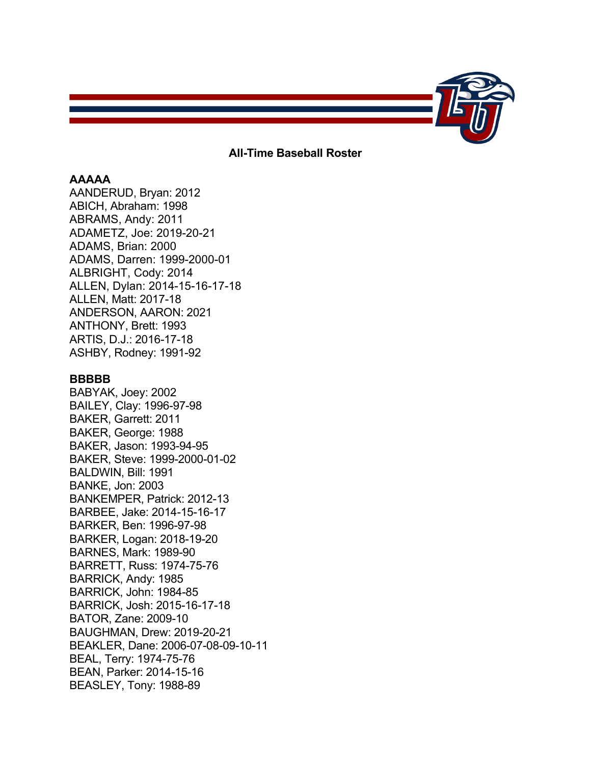

# **All-Time Baseball Roster**

# **AAAAA**

AANDERUD, Bryan: 2012 ABICH, Abraham: 1998 ABRAMS, Andy: 2011 ADAMETZ, Joe: 2019-20-21 ADAMS, Brian: 2000 ADAMS, Darren: 1999-2000-01 ALBRIGHT, Cody: 2014 ALLEN, Dylan: 2014-15-16-17-18 ALLEN, Matt: 2017-18 ANDERSON, AARON: 2021 ANTHONY, Brett: 1993 ARTIS, D.J.: 2016-17-18 ASHBY, Rodney: 1991-92

# **BBBBB**

BABYAK, Joey: 2002 BAILEY, Clay: 1996-97-98 BAKER, Garrett: 2011 BAKER, George: 1988 BAKER, Jason: 1993-94-95 BAKER, Steve: 1999-2000-01-02 BALDWIN, Bill: 1991 BANKE, Jon: 2003 BANKEMPER, Patrick: 2012-13 BARBEE, Jake: 2014-15-16-17 BARKER, Ben: 1996-97-98 BARKER, Logan: 2018-19-20 BARNES, Mark: 1989-90 BARRETT, Russ: 1974-75-76 BARRICK, Andy: 1985 BARRICK, John: 1984-85 BARRICK, Josh: 2015-16-17-18 BATOR, Zane: 2009-10 BAUGHMAN, Drew: 2019-20-21 BEAKLER, Dane: 2006-07-08-09-10-11 BEAL, Terry: 1974-75-76 BEAN, Parker: 2014-15-16 BEASLEY, Tony: 1988-89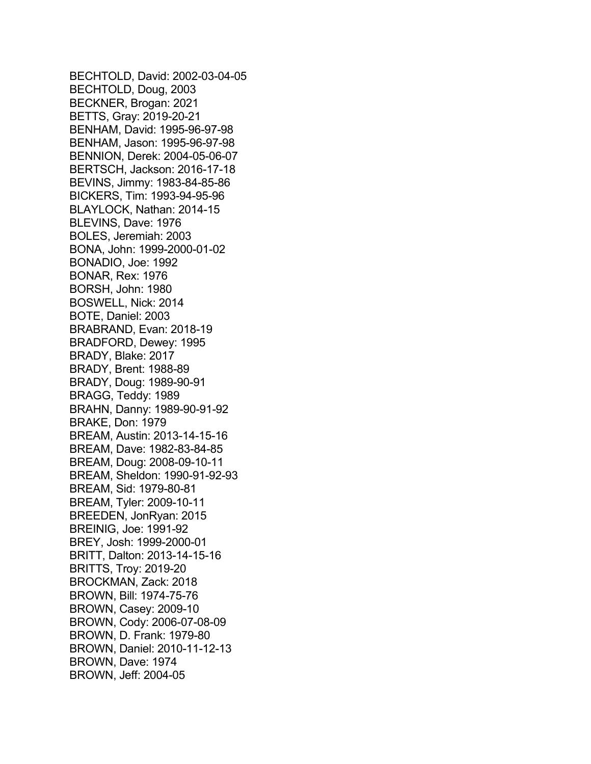BECHTOLD, David: 2002-03-04-05 BECHTOLD, Doug, 2003 BECKNER, Brogan: 2021 BETTS, Gray: 2019-20-21 BENHAM, David: 1995-96-97-98 BENHAM, Jason: 1995-96-97-98 BENNION, Derek: 2004-05-06-07 BERTSCH, Jackson: 2016-17-18 BEVINS, Jimmy: 1983-84-85-86 BICKERS, Tim: 1993-94-95-96 BLAYLOCK, Nathan: 2014-15 BLEVINS, Dave: 1976 BOLES, Jeremiah: 2003 BONA, John: 1999-2000-01-02 BONADIO, Joe: 1992 BONAR, Rex: 1976 BORSH, John: 1980 BOSWELL, Nick: 2014 BOTE, Daniel: 2003 BRABRAND, Evan: 2018-19 BRADFORD, Dewey: 1995 BRADY, Blake: 2017 BRADY, Brent: 1988-89 BRADY, Doug: 1989-90-91 BRAGG, Teddy: 1989 BRAHN, Danny: 1989-90-91-92 BRAKE, Don: 1979 BREAM, Austin: 2013-14-15-16 BREAM, Dave: 1982-83-84-85 BREAM, Doug: 2008-09-10-11 BREAM, Sheldon: 1990-91-92-93 BREAM, Sid: 1979-80-81 BREAM, Tyler: 2009-10-11 BREEDEN, JonRyan: 2015 BREINIG, Joe: 1991-92 BREY, Josh: 1999-2000-01 BRITT, Dalton: 2013-14-15-16 BRITTS, Troy: 2019-20 BROCKMAN, Zack: 2018 BROWN, Bill: 1974-75-76 BROWN, Casey: 2009-10 BROWN, Cody: 2006-07-08-09 BROWN, D. Frank: 1979-80 BROWN, Daniel: 2010-11-12-13 BROWN, Dave: 1974 BROWN, Jeff: 2004-05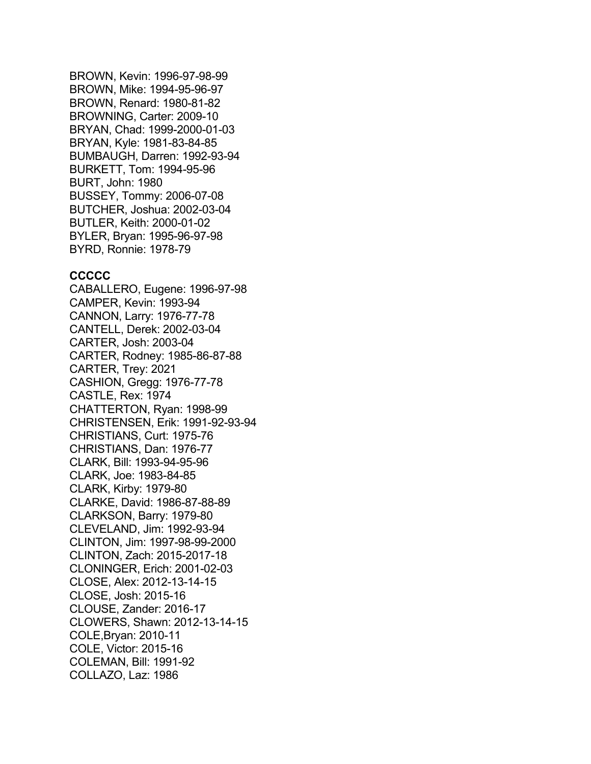BROWN, Kevin: 1996-97-98-99 BROWN, Mike: 1994-95-96-97 BROWN, Renard: 1980-81-82 BROWNING, Carter: 2009-10 BRYAN, Chad: 1999-2000-01-03 BRYAN, Kyle: 1981-83-84-85 BUMBAUGH, Darren: 1992-93-94 BURKETT, Tom: 1994-95-96 BURT, John: 1980 BUSSEY, Tommy: 2006-07-08 BUTCHER, Joshua: 2002-03-04 BUTLER, Keith: 2000-01-02 BYLER, Bryan: 1995-96-97-98 BYRD, Ronnie: 1978-79

## **CCCCC**

CABALLERO, Eugene: 1996-97-98 CAMPER, Kevin: 1993-94 CANNON, Larry: 1976-77-78 CANTELL, Derek: 2002-03-04 CARTER, Josh: 2003-04 CARTER, Rodney: 1985-86-87-88 CARTER, Trey: 2021 CASHION, Gregg: 1976-77-78 CASTLE, Rex: 1974 CHATTERTON, Ryan: 1998-99 CHRISTENSEN, Erik: 1991-92-93-94 CHRISTIANS, Curt: 1975-76 CHRISTIANS, Dan: 1976-77 CLARK, Bill: 1993-94-95-96 CLARK, Joe: 1983-84-85 CLARK, Kirby: 1979-80 CLARKE, David: 1986-87-88-89 CLARKSON, Barry: 1979-80 CLEVELAND, Jim: 1992-93-94 CLINTON, Jim: 1997-98-99-2000 CLINTON, Zach: 2015-2017-18 CLONINGER, Erich: 2001-02-03 CLOSE, Alex: 2012-13-14-15 CLOSE, Josh: 2015-16 CLOUSE, Zander: 2016-17 CLOWERS, Shawn: 2012-13-14-15 COLE,Bryan: 2010-11 COLE, Victor: 2015-16 COLEMAN, Bill: 1991-92 COLLAZO, Laz: 1986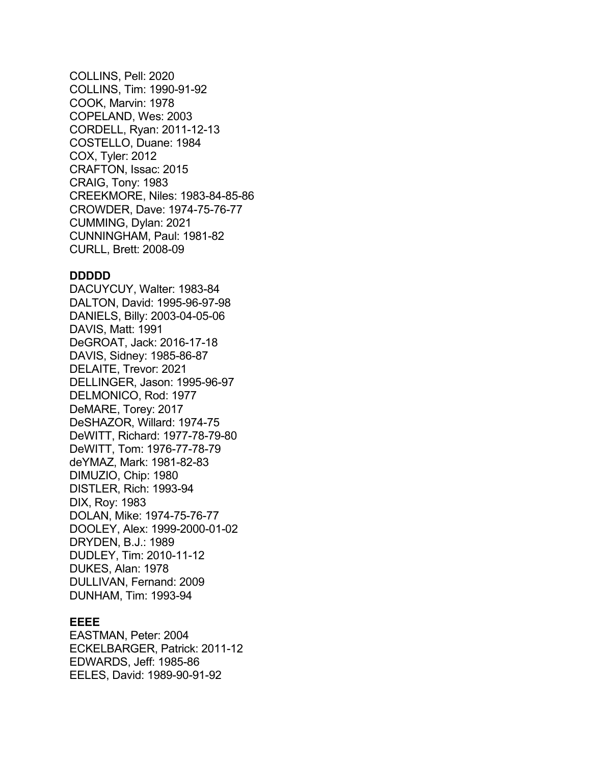COLLINS, Pell: 2020 COLLINS, Tim: 1990-91-92 COOK, Marvin: 1978 COPELAND, Wes: 2003 CORDELL, Ryan: 2011-12-13 COSTELLO, Duane: 1984 COX, Tyler: 2012 CRAFTON, Issac: 2015 CRAIG, Tony: 1983 CREEKMORE, Niles: 1983-84-85-86 CROWDER, Dave: 1974-75-76-77 CUMMING, Dylan: 2021 CUNNINGHAM, Paul: 1981-82 CURLL, Brett: 2008-09

### **DDDDD**

DACUYCUY, Walter: 1983-84 DALTON, David: 1995-96-97-98 DANIELS, Billy: 2003-04-05-06 DAVIS, Matt: 1991 DeGROAT, Jack: 2016-17-18 DAVIS, Sidney: 1985-86-87 DELAITE, Trevor: 2021 DELLINGER, Jason: 1995-96-97 DELMONICO, Rod: 1977 DeMARE, Torey: 2017 DeSHAZOR, Willard: 1974-75 DeWITT, Richard: 1977-78-79-80 DeWITT, Tom: 1976-77-78-79 deYMAZ, Mark: 1981-82-83 DIMUZIO, Chip: 1980 DISTLER, Rich: 1993-94 DIX, Roy: 1983 DOLAN, Mike: 1974-75-76-77 DOOLEY, Alex: 1999-2000-01-02 DRYDEN, B.J.: 1989 DUDLEY, Tim: 2010-11-12 DUKES, Alan: 1978 DULLIVAN, Fernand: 2009 DUNHAM, Tim: 1993-94

# **EEEE**

EASTMAN, Peter: 2004 ECKELBARGER, Patrick: 2011-12 EDWARDS, Jeff: 1985-86 EELES, David: 1989-90-91-92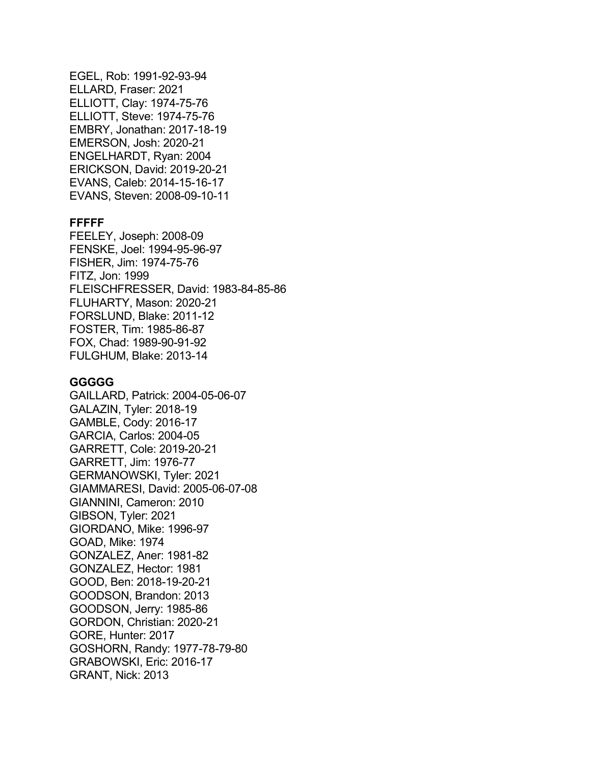EGEL, Rob: 1991-92-93-94 ELLARD, Fraser: 2021 ELLIOTT, Clay: 1974-75-76 ELLIOTT, Steve: 1974-75-76 EMBRY, Jonathan: 2017-18-19 EMERSON, Josh: 2020-21 ENGELHARDT, Ryan: 2004 ERICKSON, David: 2019-20-21 EVANS, Caleb: 2014-15-16-17 EVANS, Steven: 2008-09-10-11

# **FFFFF**

FEELEY, Joseph: 2008-09 FENSKE, Joel: 1994-95-96-97 FISHER, Jim: 1974-75-76 FITZ, Jon: 1999 FLEISCHFRESSER, David: 1983-84-85-86 FLUHARTY, Mason: 2020-21 FORSLUND, Blake: 2011-12 FOSTER, Tim: 1985-86-87 FOX, Chad: 1989-90-91-92 FULGHUM, Blake: 2013-14

### **GGGGG**

GAILLARD, Patrick: 2004-05-06-07 GALAZIN, Tyler: 2018-19 GAMBLE, Cody: 2016-17 GARCIA, Carlos: 2004-05 GARRETT, Cole: 2019-20-21 GARRETT, Jim: 1976-77 GERMANOWSKI, Tyler: 2021 GIAMMARESI, David: 2005-06-07-08 GIANNINI, Cameron: 2010 GIBSON, Tyler: 2021 GIORDANO, Mike: 1996-97 GOAD, Mike: 1974 GONZALEZ, Aner: 1981-82 GONZALEZ, Hector: 1981 GOOD, Ben: 2018-19-20-21 GOODSON, Brandon: 2013 GOODSON, Jerry: 1985-86 GORDON, Christian: 2020-21 GORE, Hunter: 2017 GOSHORN, Randy: 1977-78-79-80 GRABOWSKI, Eric: 2016-17 GRANT, Nick: 2013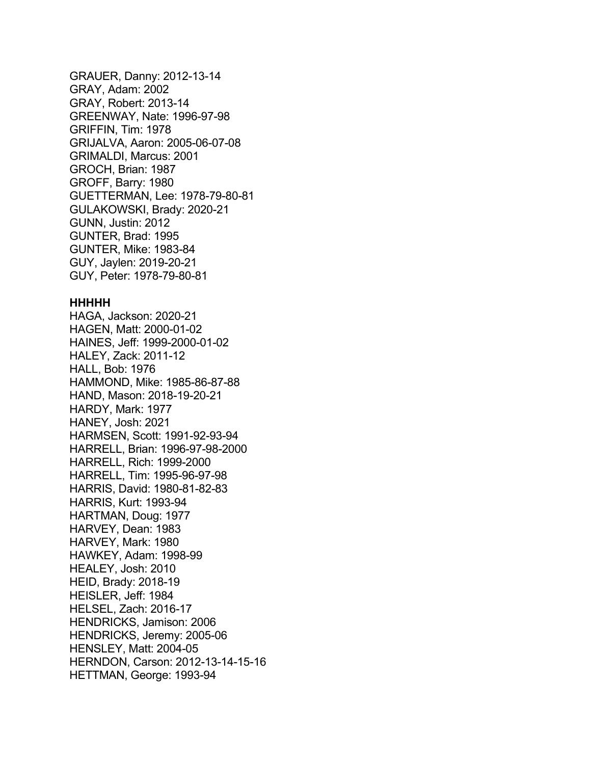GRAUER, Danny: 2012-13-14 GRAY, Adam: 2002 GRAY, Robert: 2013-14 GREENWAY, Nate: 1996-97-98 GRIFFIN, Tim: 1978 GRIJALVA, Aaron: 2005-06-07-08 GRIMALDI, Marcus: 2001 GROCH, Brian: 1987 GROFF, Barry: 1980 GUETTERMAN, Lee: 1978-79-80-81 GULAKOWSKI, Brady: 2020-21 GUNN, Justin: 2012 GUNTER, Brad: 1995 GUNTER, Mike: 1983-84 GUY, Jaylen: 2019-20-21 GUY, Peter: 1978-79-80-81

### **HHHHH**

HAGA, Jackson: 2020-21 HAGEN, Matt: 2000-01-02 HAINES, Jeff: 1999-2000-01-02 HALEY, Zack: 2011-12 HALL, Bob: 1976 HAMMOND, Mike: 1985-86-87-88 HAND, Mason: 2018-19-20-21 HARDY, Mark: 1977 HANEY, Josh: 2021 HARMSEN, Scott: 1991-92-93-94 HARRELL, Brian: 1996-97-98-2000 HARRELL, Rich: 1999-2000 HARRELL, Tim: 1995-96-97-98 HARRIS, David: 1980-81-82-83 HARRIS, Kurt: 1993-94 HARTMAN, Doug: 1977 HARVEY, Dean: 1983 HARVEY, Mark: 1980 HAWKEY, Adam: 1998-99 HEALEY, Josh: 2010 HEID, Brady: 2018-19 HEISLER, Jeff: 1984 HELSEL, Zach: 2016-17 HENDRICKS, Jamison: 2006 HENDRICKS, Jeremy: 2005-06 HENSLEY, Matt: 2004-05 HERNDON, Carson: 2012-13-14-15-16 HETTMAN, George: 1993-94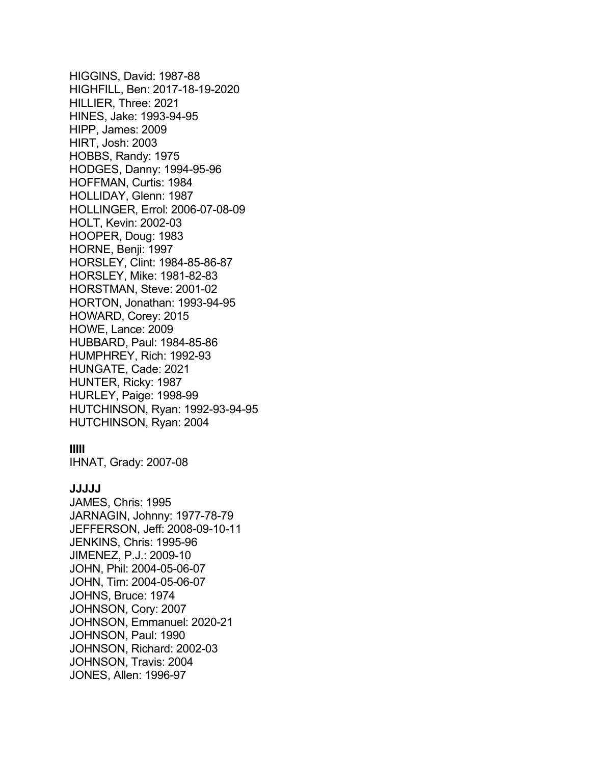HIGGINS, David: 1987-88 HIGHFILL, Ben: 2017-18-19-2020 HILLIER, Three: 2021 HINES, Jake: 1993-94-95 HIPP, James: 2009 HIRT, Josh: 2003 HOBBS, Randy: 1975 HODGES, Danny: 1994-95-96 HOFFMAN, Curtis: 1984 HOLLIDAY, Glenn: 1987 HOLLINGER, Errol: 2006-07-08-09 HOLT, Kevin: 2002-03 HOOPER, Doug: 1983 HORNE, Benji: 1997 HORSLEY, Clint: 1984-85-86-87 HORSLEY, Mike: 1981-82-83 HORSTMAN, Steve: 2001-02 HORTON, Jonathan: 1993-94-95 HOWARD, Corey: 2015 HOWE, Lance: 2009 HUBBARD, Paul: 1984-85-86 HUMPHREY, Rich: 1992-93 HUNGATE, Cade: 2021 HUNTER, Ricky: 1987 HURLEY, Paige: 1998-99 HUTCHINSON, Ryan: 1992-93-94-95 HUTCHINSON, Ryan: 2004

## **IIIII**

IHNAT, Grady: 2007-08

# **JJJJJ**

JAMES, Chris: 1995 JARNAGIN, Johnny: 1977-78-79 JEFFERSON, Jeff: 2008-09-10-11 JENKINS, Chris: 1995-96 JIMENEZ, P.J.: 2009-10 JOHN, Phil: 2004-05-06-07 JOHN, Tim: 2004-05-06-07 JOHNS, Bruce: 1974 JOHNSON, Cory: 2007 JOHNSON, Emmanuel: 2020-21 JOHNSON, Paul: 1990 JOHNSON, Richard: 2002-03 JOHNSON, Travis: 2004 JONES, Allen: 1996-97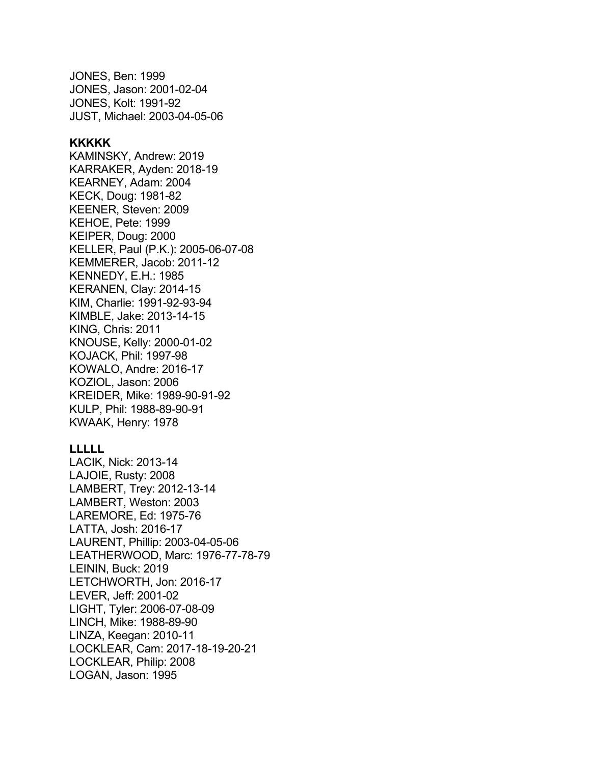JONES, Ben: 1999 JONES, Jason: 2001-02-04 JONES, Kolt: 1991-92 JUST, Michael: 2003-04-05-06

# **KKKKK**

KAMINSKY, Andrew: 2019 KARRAKER, Ayden: 2018-19 KEARNEY, Adam: 2004 KECK, Doug: 1981-82 KEENER, Steven: 2009 KEHOE, Pete: 1999 KEIPER, Doug: 2000 KELLER, Paul (P.K.): 2005-06-07-08 KEMMERER, Jacob: 2011-12 KENNEDY, E.H.: 1985 KERANEN, Clay: 2014-15 KIM, Charlie: 1991-92-93-94 KIMBLE, Jake: 2013-14-15 KING, Chris: 2011 KNOUSE, Kelly: 2000-01-02 KOJACK, Phil: 1997-98 KOWALO, Andre: 2016-17 KOZIOL, Jason: 2006 KREIDER, Mike: 1989-90-91-92 KULP, Phil: 1988-89-90-91 KWAAK, Henry: 1978

### **LLLLL**

LACIK, Nick: 2013-14 LAJOIE, Rusty: 2008 LAMBERT, Trey: 2012-13-14 LAMBERT, Weston: 2003 LAREMORE, Ed: 1975-76 LATTA, Josh: 2016-17 LAURENT, Phillip: 2003-04-05-06 LEATHERWOOD, Marc: 1976-77-78-79 LEININ, Buck: 2019 LETCHWORTH, Jon: 2016-17 LEVER, Jeff: 2001-02 LIGHT, Tyler: 2006-07-08-09 LINCH, Mike: 1988-89-90 LINZA, Keegan: 2010-11 LOCKLEAR, Cam: 2017-18-19-20-21 LOCKLEAR, Philip: 2008 LOGAN, Jason: 1995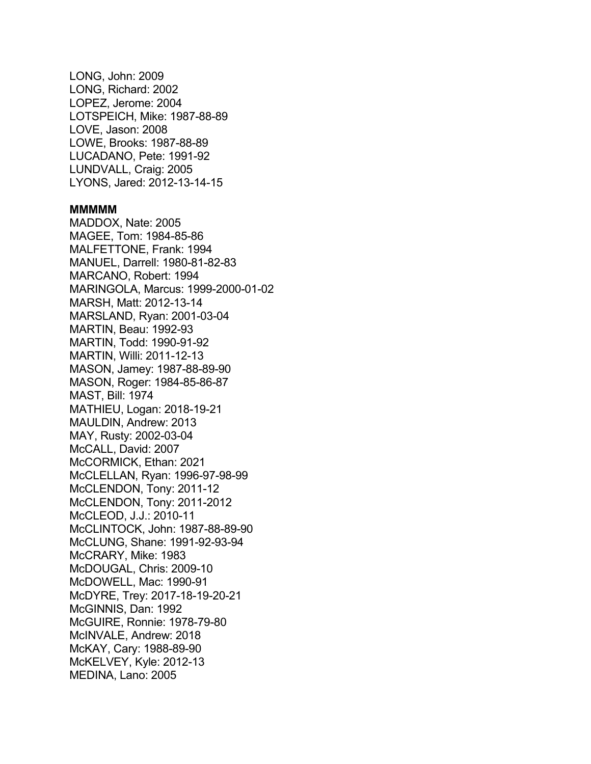LONG, John: 2009 LONG, Richard: 2002 LOPEZ, Jerome: 2004 LOTSPEICH, Mike: 1987-88-89 LOVE, Jason: 2008 LOWE, Brooks: 1987-88-89 LUCADANO, Pete: 1991-92 LUNDVALL, Craig: 2005 LYONS, Jared: 2012-13-14-15

#### **MMMMM**

MADDOX, Nate: 2005 MAGEE, Tom: 1984-85-86 MALFETTONE, Frank: 1994 MANUEL, Darrell: 1980-81-82-83 MARCANO, Robert: 1994 MARINGOLA, Marcus: 1999-2000-01-02 MARSH, Matt: 2012-13-14 MARSLAND, Ryan: 2001-03-04 MARTIN, Beau: 1992-93 MARTIN, Todd: 1990-91-92 MARTIN, Willi: 2011-12-13 MASON, Jamey: 1987-88-89-90 MASON, Roger: 1984-85-86-87 MAST, Bill: 1974 MATHIEU, Logan: 2018-19-21 MAULDIN, Andrew: 2013 MAY, Rusty: 2002-03-04 McCALL, David: 2007 McCORMICK, Ethan: 2021 McCLELLAN, Ryan: 1996-97-98-99 McCLENDON, Tony: 2011-12 McCLENDON, Tony: 2011-2012 McCLEOD, J.J.: 2010-11 McCLINTOCK, John: 1987-88-89-90 McCLUNG, Shane: 1991-92-93-94 McCRARY, Mike: 1983 McDOUGAL, Chris: 2009-10 McDOWELL, Mac: 1990-91 McDYRE, Trey: 2017-18-19-20-21 McGINNIS, Dan: 1992 McGUIRE, Ronnie: 1978-79-80 McINVALE, Andrew: 2018 McKAY, Cary: 1988-89-90 McKELVEY, Kyle: 2012-13 MEDINA, Lano: 2005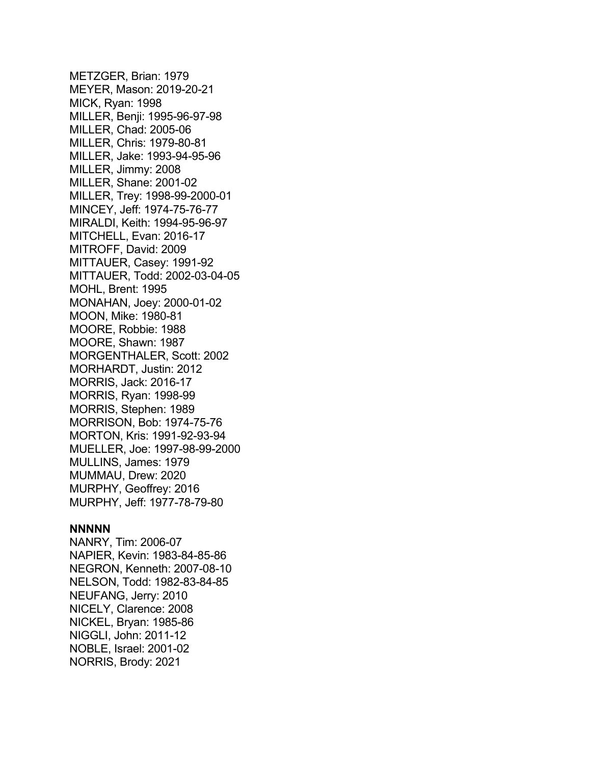METZGER, Brian: 1979 MEYER, Mason: 2019-20-21 MICK, Ryan: 1998 MILLER, Benji: 1995-96-97-98 MILLER, Chad: 2005-06 MILLER, Chris: 1979-80-81 MILLER, Jake: 1993-94-95-96 MILLER, Jimmy: 2008 MILLER, Shane: 2001-02 MILLER, Trey: 1998-99-2000-01 MINCEY, Jeff: 1974-75-76-77 MIRALDI, Keith: 1994-95-96-97 MITCHELL, Evan: 2016-17 MITROFF, David: 2009 MITTAUER, Casey: 1991-92 MITTAUER, Todd: 2002-03-04-05 MOHL, Brent: 1995 MONAHAN, Joey: 2000-01-02 MOON, Mike: 1980-81 MOORE, Robbie: 1988 MOORE, Shawn: 1987 MORGENTHALER, Scott: 2002 MORHARDT, Justin: 2012 MORRIS, Jack: 2016-17 MORRIS, Ryan: 1998-99 MORRIS, Stephen: 1989 MORRISON, Bob: 1974-75-76 MORTON, Kris: 1991-92-93-94 MUELLER, Joe: 1997-98-99-2000 MULLINS, James: 1979 MUMMAU, Drew: 2020 MURPHY, Geoffrey: 2016 MURPHY, Jeff: 1977-78-79-80

#### **NNNNN**

NANRY, Tim: 2006-07 NAPIER, Kevin: 1983-84-85-86 NEGRON, Kenneth: 2007-08-10 NELSON, Todd: 1982-83-84-85 NEUFANG, Jerry: 2010 NICELY, Clarence: 2008 NICKEL, Bryan: 1985-86 NIGGLI, John: 2011-12 NOBLE, Israel: 2001-02 NORRIS, Brody: 2021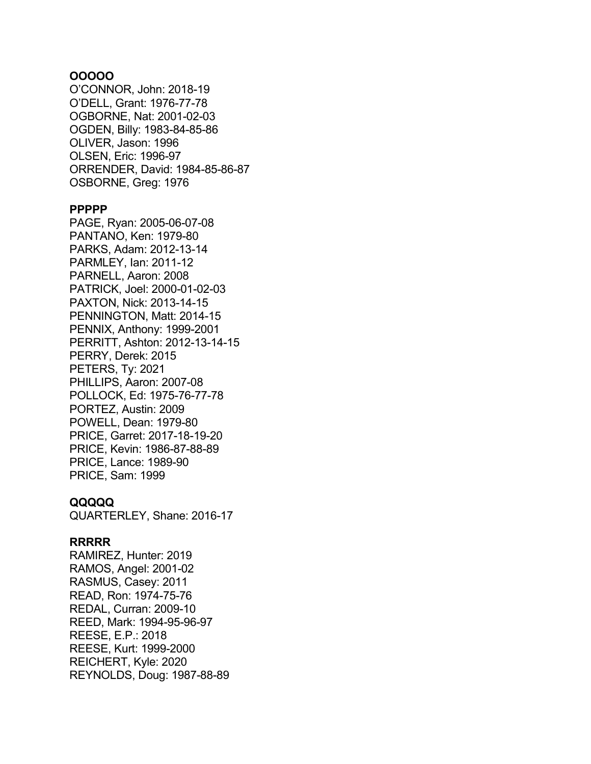# **OOOOO**

O'CONNOR, John: 2018-19 O'DELL, Grant: 1976-77-78 OGBORNE, Nat: 2001-02-03 OGDEN, Billy: 1983-84-85-86 OLIVER, Jason: 1996 OLSEN, Eric: 1996-97 ORRENDER, David: 1984-85-86-87 OSBORNE, Greg: 1976

#### **PPPPP**

PAGE, Ryan: 2005-06-07-08 PANTANO, Ken: 1979-80 PARKS, Adam: 2012-13-14 PARMLEY, Ian: 2011-12 PARNELL, Aaron: 2008 PATRICK, Joel: 2000-01-02-03 PAXTON, Nick: 2013-14-15 PENNINGTON, Matt: 2014-15 PENNIX, Anthony: 1999-2001 PERRITT, Ashton: 2012-13-14-15 PERRY, Derek: 2015 PETERS, Ty: 2021 PHILLIPS, Aaron: 2007-08 POLLOCK, Ed: 1975-76-77-78 PORTEZ, Austin: 2009 POWELL, Dean: 1979-80 PRICE, Garret: 2017-18-19-20 PRICE, Kevin: 1986-87-88-89 PRICE, Lance: 1989-90 PRICE, Sam: 1999

# **QQQQQ**

QUARTERLEY, Shane: 2016-17

## **RRRRR**

RAMIREZ, Hunter: 2019 RAMOS, Angel: 2001-02 RASMUS, Casey: 2011 READ, Ron: 1974-75-76 REDAL, Curran: 2009-10 REED, Mark: 1994-95-96-97 REESE, E.P.: 2018 REESE, Kurt: 1999-2000 REICHERT, Kyle: 2020 REYNOLDS, Doug: 1987-88-89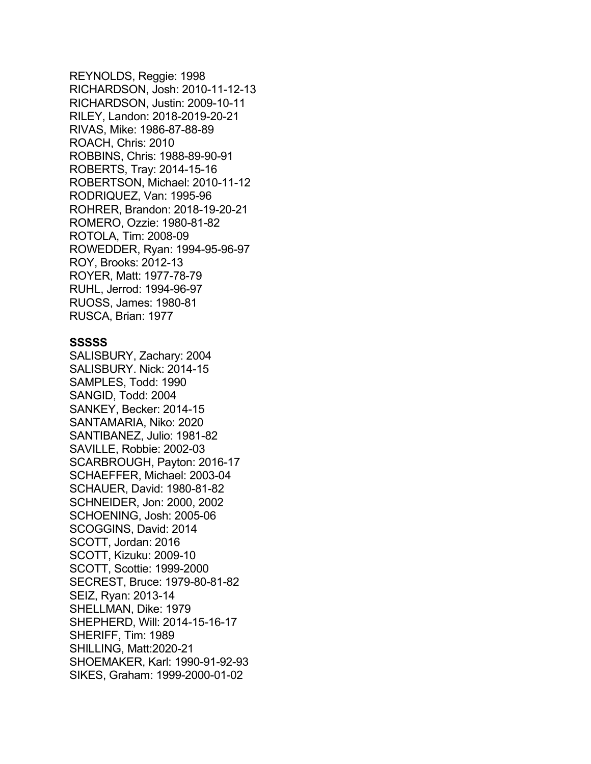REYNOLDS, Reggie: 1998 RICHARDSON, Josh: 2010-11-12-13 RICHARDSON, Justin: 2009-10-11 RILEY, Landon: 2018-2019-20-21 RIVAS, Mike: 1986-87-88-89 ROACH, Chris: 2010 ROBBINS, Chris: 1988-89-90-91 ROBERTS, Tray: 2014-15-16 ROBERTSON, Michael: 2010-11-12 RODRIQUEZ, Van: 1995-96 ROHRER, Brandon: 2018-19-20-21 ROMERO, Ozzie: 1980-81-82 ROTOLA, Tim: 2008-09 ROWEDDER, Ryan: 1994-95-96-97 ROY, Brooks: 2012-13 ROYER, Matt: 1977-78-79 RUHL, Jerrod: 1994-96-97 RUOSS, James: 1980-81 RUSCA, Brian: 1977

### **SSSSS**

SALISBURY, Zachary: 2004 SALISBURY. Nick: 2014-15 SAMPLES, Todd: 1990 SANGID, Todd: 2004 SANKEY, Becker: 2014-15 SANTAMARIA, Niko: 2020 SANTIBANEZ, Julio: 1981-82 SAVILLE, Robbie: 2002-03 SCARBROUGH, Payton: 2016-17 SCHAEFFER, Michael: 2003-04 SCHAUER, David: 1980-81-82 SCHNEIDER, Jon: 2000, 2002 SCHOENING, Josh: 2005-06 SCOGGINS, David: 2014 SCOTT, Jordan: 2016 SCOTT, Kizuku: 2009-10 SCOTT, Scottie: 1999-2000 SECREST, Bruce: 1979-80-81-82 SEIZ, Ryan: 2013-14 SHELLMAN, Dike: 1979 SHEPHERD, Will: 2014-15-16-17 SHERIFF, Tim: 1989 SHILLING, Matt:2020-21 SHOEMAKER, Karl: 1990-91-92-93 SIKES, Graham: 1999-2000-01-02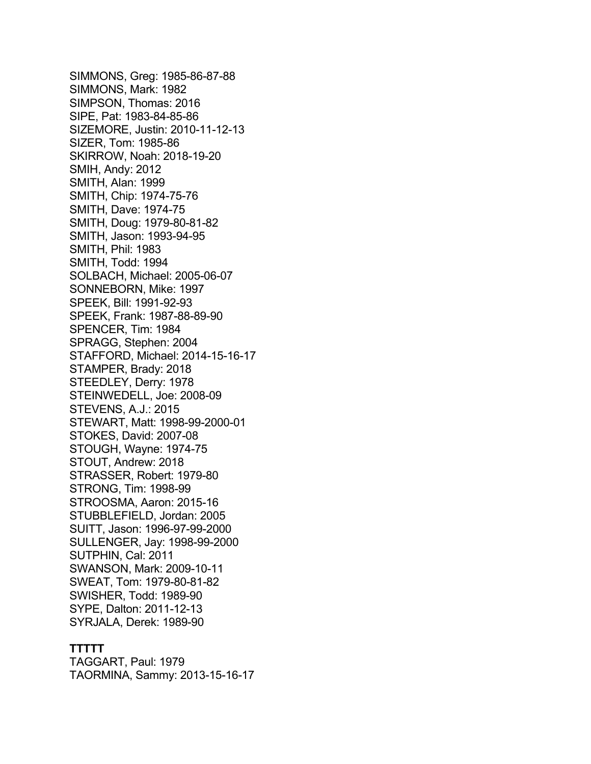SIMMONS, Greg: 1985-86-87-88 SIMMONS, Mark: 1982 SIMPSON, Thomas: 2016 SIPE, Pat: 1983-84-85-86 SIZEMORE, Justin: 2010-11-12-13 SIZER, Tom: 1985-86 SKIRROW, Noah: 2018-19-20 SMIH, Andy: 2012 SMITH, Alan: 1999 SMITH, Chip: 1974-75-76 SMITH, Dave: 1974-75 SMITH, Doug: 1979-80-81-82 SMITH, Jason: 1993-94-95 SMITH, Phil: 1983 SMITH, Todd: 1994 SOLBACH, Michael: 2005-06-07 SONNEBORN, Mike: 1997 SPEEK, Bill: 1991-92-93 SPEEK, Frank: 1987-88-89-90 SPENCER, Tim: 1984 SPRAGG, Stephen: 2004 STAFFORD, Michael: 2014-15-16-17 STAMPER, Brady: 2018 STEEDLEY, Derry: 1978 STEINWEDELL, Joe: 2008-09 STEVENS, A.J.: 2015 STEWART, Matt: 1998-99-2000-01 STOKES, David: 2007-08 STOUGH, Wayne: 1974-75 STOUT, Andrew: 2018 STRASSER, Robert: 1979-80 STRONG, Tim: 1998-99 STROOSMA, Aaron: 2015-16 STUBBLEFIELD, Jordan: 2005 SUITT, Jason: 1996-97-99-2000 SULLENGER, Jay: 1998-99-2000 SUTPHIN, Cal: 2011 SWANSON, Mark: 2009-10-11 SWEAT, Tom: 1979-80-81-82 SWISHER, Todd: 1989-90 SYPE, Dalton: 2011-12-13 SYRJALA, Derek: 1989-90

# **TTTTT**

TAGGART, Paul: 1979 TAORMINA, Sammy: 2013-15-16-17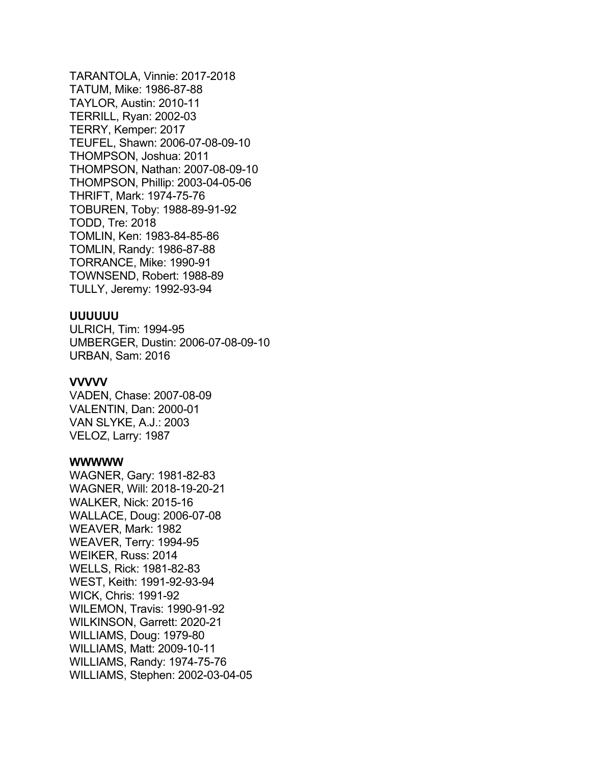TARANTOLA, Vinnie: 2017-2018 TATUM, Mike: 1986-87-88 TAYLOR, Austin: 2010-11 TERRILL, Ryan: 2002-03 TERRY, Kemper: 2017 TEUFEL, Shawn: 2006-07-08-09-10 THOMPSON, Joshua: 2011 THOMPSON, Nathan: 2007-08-09-10 THOMPSON, Phillip: 2003-04-05-06 THRIFT, Mark: 1974-75-76 TOBUREN, Toby: 1988-89-91-92 TODD, Tre: 2018 TOMLIN, Ken: 1983-84-85-86 TOMLIN, Randy: 1986-87-88 TORRANCE, Mike: 1990-91 TOWNSEND, Robert: 1988-89 TULLY, Jeremy: 1992-93-94

# **UUUUUU**

ULRICH, Tim: 1994-95 UMBERGER, Dustin: 2006-07-08-09-10 URBAN, Sam: 2016

# **VVVVV**

VADEN, Chase: 2007-08-09 VALENTIN, Dan: 2000-01 VAN SLYKE, A.J.: 2003 VELOZ, Larry: 1987

# **WWWWW**

WAGNER, Gary: 1981-82-83 WAGNER, Will: 2018-19-20-21 WALKER, Nick: 2015-16 WALLACE, Doug: 2006-07-08 WEAVER, Mark: 1982 WEAVER, Terry: 1994-95 WEIKER, Russ: 2014 WELLS, Rick: 1981-82-83 WEST, Keith: 1991-92-93-94 WICK, Chris: 1991-92 WILEMON, Travis: 1990-91-92 WILKINSON, Garrett: 2020-21 WILLIAMS, Doug: 1979-80 WILLIAMS, Matt: 2009-10-11 WILLIAMS, Randy: 1974-75-76 WILLIAMS, Stephen: 2002-03-04-05